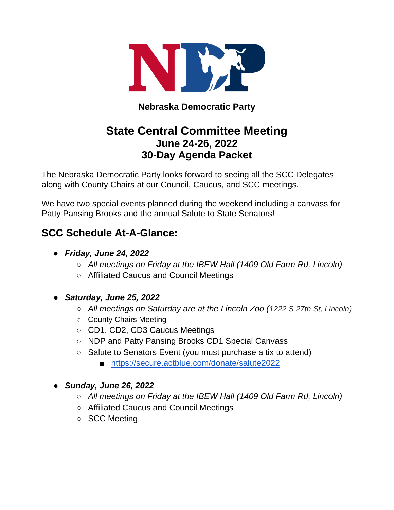

# **Nebraska Democratic Party**

# **State Central Committee Meeting June 24-26, 2022 30-Day Agenda Packet**

The Nebraska Democratic Party looks forward to seeing all the SCC Delegates along with County Chairs at our Council, Caucus, and SCC meetings.

We have two special events planned during the weekend including a canvass for Patty Pansing Brooks and the annual Salute to State Senators!

# **SCC Schedule At-A-Glance:**

- *Friday, June 24, 2022*
	- *All meetings on Friday at the IBEW Hall (1409 Old Farm Rd, Lincoln)*
	- Affiliated Caucus and Council Meetings
- *Saturday, June 25, 2022*
	- *All meetings on Saturday are at the Lincoln Zoo (1222 S 27th St, Lincoln)*
	- County Chairs Meeting
	- CD1, CD2, CD3 Caucus Meetings
	- NDP and Patty Pansing Brooks CD1 Special Canvass
	- Salute to Senators Event (you must purchase a tix to attend)
		- <https://secure.actblue.com/donate/salute2022>

## ● *Sunday, June 26, 2022*

- *All meetings on Friday at the IBEW Hall (1409 Old Farm Rd, Lincoln)*
- Affiliated Caucus and Council Meetings
- SCC Meeting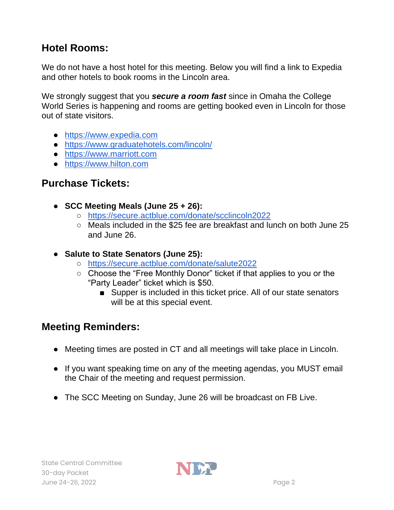# **Hotel Rooms:**

We do not have a host hotel for this meeting. Below you will find a link to Expedia and other hotels to book rooms in the Lincoln area.

We strongly suggest that you *secure a room fast* since in Omaha the College World Series is happening and rooms are getting booked even in Lincoln for those out of state visitors.

- [https://www.expedia.com](https://www.expedia.com/)
- https://www.graduatehotels.com/lincoln/
- [https://www.marriott.com](https://www.marriott.com/default.mi)
- [https://www.hilton.com](https://www.hilton.com/en/)

# **Purchase Tickets:**

- **SCC Meeting Meals (June 25 + 26):**
	- <https://secure.actblue.com/donate/scclincoln2022>
	- Meals included in the \$25 fee are breakfast and lunch on both June 25 and June 26.
- **Salute to State Senators (June 25):** 
	- <https://secure.actblue.com/donate/salute2022>
	- Choose the "Free Monthly Donor" ticket if that applies to you or the "Party Leader" ticket which is \$50.
		- Supper is included in this ticket price. All of our state senators will be at this special event.

# **Meeting Reminders:**

- Meeting times are posted in CT and all meetings will take place in Lincoln.
- If you want speaking time on any of the meeting agendas, you MUST email the Chair of the meeting and request permission.
- The SCC Meeting on Sunday, June 26 will be broadcast on FB Live.

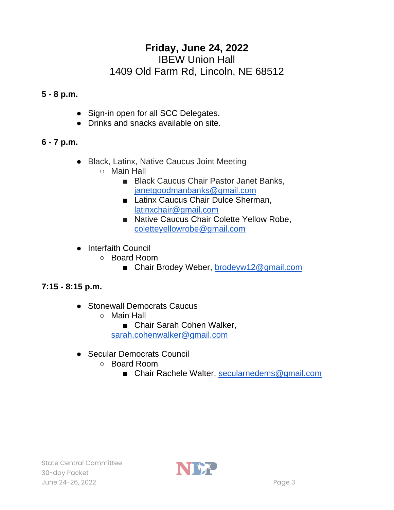# **Friday, June 24, 2022**

## IBEW Union Hall 1409 Old Farm Rd, Lincoln, NE 68512

## **5 - 8 p.m.**

- Sign-in open for all SCC Delegates.
- Drinks and snacks available on site.

# **6 - 7 p.m.**

- Black, Latinx, Native Caucus Joint Meeting
	- Main Hall
		- Black Caucus Chair Pastor Janet Banks, [janetgoodmanbanks@gmail.com](mailto:janetgoodmanbanks@gmail.com)
		- Latinx Caucus Chair Dulce Sherman, [latinxchair@gmail.com](mailto:latinxchair@gmail.com)
		- Native Caucus Chair Colette Yellow Robe, [coletteyellowrobe@gmail.com](mailto:coletteyellowrobe@gmail.com)
- Interfaith Council
	- Board Room
		- Chair Brodey Weber, [brodeyw12@gmail.com](mailto:brodyew12@gmail.com)

## **7:15 - 8:15 p.m.**

- Stonewall Democrats Caucus
	- Main Hall
		- Chair Sarah Cohen Walker,

[sarah.cohenwalker@gmail.com](mailto:sarah.cohenwalker@gmail.com)

- Secular Democrats Council
	- Board Room
		- Chair Rachele Walter, [secularnedems@gmail.com](mailto:secularnedems@gmail.com)

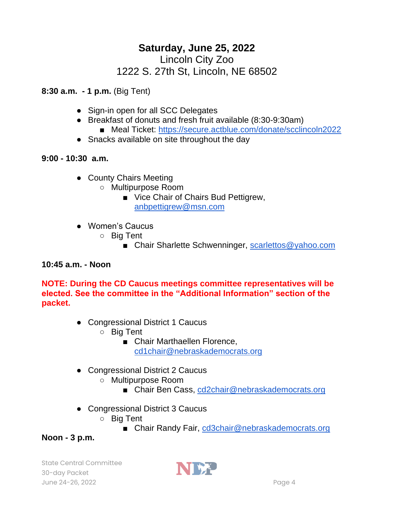# **Saturday, June 25, 2022** Lincoln City Zoo

# 1222 S. 27th St, Lincoln, NE 68502

**8:30 a.m. - 1 p.m.** (Big Tent)

- Sign-in open for all SCC Delegates
- Breakfast of donuts and fresh fruit available (8:30-9:30am)
	- Meal Ticket:<https://secure.actblue.com/donate/scclincoln2022>
- Snacks available on site throughout the day

## **9:00 - 10:30 a.m.**

- County Chairs Meeting
	- Multipurpose Room
		- Vice Chair of Chairs Bud Pettigrew, [anbpettigrew@msn.com](mailto:anbpettigrew@msn.com)
- Women's Caucus
	- Big Tent
		- Chair Sharlette Schwenninger, [scarlettos@yahoo.com](mailto:scarlettos@yahoo.com)

## **10:45 a.m. - Noon**

**NOTE: During the CD Caucus meetings committee representatives will be elected. See the committee in the "Additional Information" section of the packet.**

- Congressional District 1 Caucus
	- Big Tent
		- Chair Marthaellen Florence, [cd1chair@nebraskademocrats.org](mailto:cd1chair@nebraskademocrats.org)
- Congressional District 2 Caucus
	- Multipurpose Room
		- Chair Ben Cass, [cd2chair@nebraskademocrats.org](mailto:cd2chair@nebraskademocrats.org)
- Congressional District 3 Caucus
	- Big Tent
		- Chair Randy Fair, [cd3chair@nebraskademocrats.org](mailto:cd3chair@nebraskademocrats.org)

## **Noon - 3 p.m.**

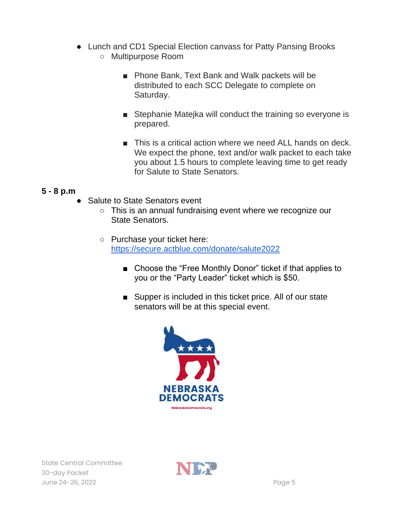- Lunch and CD1 Special Election canvass for Patty Pansing Brooks
	- Multipurpose Room
		- Phone Bank, Text Bank and Walk packets will be distributed to each SCC Delegate to complete on Saturday.
		- Stephanie Matejka will conduct the training so everyone is prepared.
		- This is a critical action where we need ALL hands on deck. We expect the phone, text and/or walk packet to each take you about 1.5 hours to complete leaving time to get ready for Salute to State Senators.

## **5 - 8 p.m**

- **Salute to State Senators event** 
	- This is an annual fundraising event where we recognize our State Senators.
	- Purchase your ticket here: <https://secure.actblue.com/donate/salute2022>
		- Choose the "Free Monthly Donor" ticket if that applies to you or the "Party Leader" ticket which is \$50.
		- Supper is included in this ticket price. All of our state senators will be at this special event.



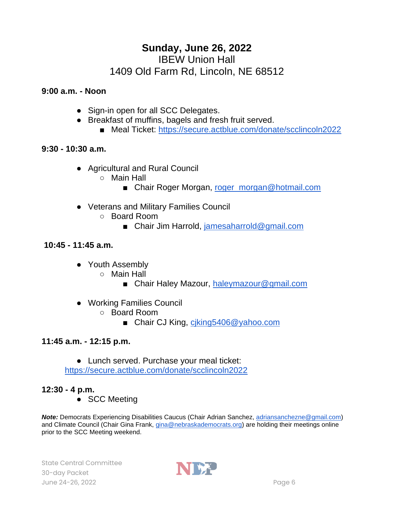# **Sunday, June 26, 2022** IBEW Union Hall 1409 Old Farm Rd, Lincoln, NE 68512

#### **9:00 a.m. - Noon**

- Sign-in open for all SCC Delegates.
- Breakfast of muffins, bagels and fresh fruit served.
	- Meal Ticket:<https://secure.actblue.com/donate/scclincoln2022>

#### **9:30 - 10:30 a.m.**

- Agricultural and Rural Council
	- Main Hall
		- Chair Roger Morgan, [roger\\_morgan@hotmail.com](mailto:roger_morgan@hotmail.com)
- Veterans and Military Families Council
	- Board Room
		- Chair Jim Harrold, [jamesaharrold@gmail.com](mailto:jamesaharrold@gmail.com)

#### **10:45 - 11:45 a.m.**

- Youth Assembly
	- Main Hall
		- Chair Haley Mazour, [haleymazour@gmail.com](mailto:haleymazour@gmail.com)
- Working Families Council
	- Board Room
		- Chair CJ King, [cjking5406@yahoo.com](mailto:cjking5406@yahoo.com)

#### **11:45 a.m. - 12:15 p.m.**

● Lunch served. Purchase your meal ticket:

<https://secure.actblue.com/donate/scclincoln2022>

## **12:30 - 4 p.m.**

● SCC Meeting

*Note:* Democrats Experiencing Disabilities Caucus (Chair Adrian Sanchez, [adriansanchezne@gmail.com\)](mailto:adriansanchezne@gmail.com) and Climate Council (Chair Gina Frank, [gina@nebraskademocrats.org\)](mailto:gina@nebraskademocrats.org) are holding their meetings online prior to the SCC Meeting weekend.

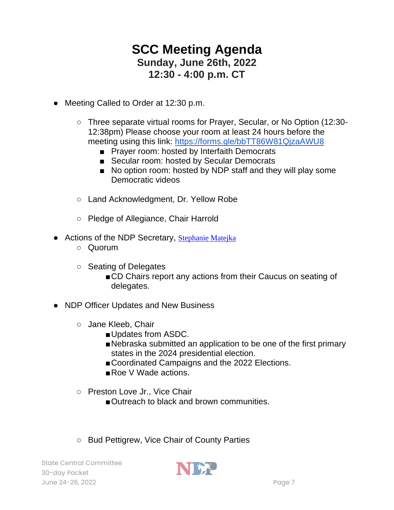# **SCC Meeting Agenda Sunday, June 26th, 2022 12:30 - 4:00 p.m. CT**

- Meeting Called to Order at 12:30 p.m.
	- Three separate virtual rooms for Prayer, Secular, or No Option (12:30- 12:38pm) Please choose your room at least 24 hours before the meeting using this link:<https://forms.gle/bbTT86W81QjzaAWU8>
		- Prayer room: hosted by Interfaith Democrats
		- Secular room: hosted by Secular Democrats
		- No option room: hosted by NDP staff and they will play some Democratic videos
	- Land Acknowledgment, Dr. Yellow Robe
	- Pledge of Allegiance, Chair Harrold
- Actions of the NDP Secretary, [Stephanie Matejka](mailto:steffie319@gmail.com)
	- Quorum
	- Seating of Delegates
		- ■CD Chairs report any actions from their Caucus on seating of delegates.
- NDP Officer Updates and New Business
	- Jane Kleeb, Chair
		- Updates from ASDC.
		- ■Nebraska submitted an application to be one of the first primary states in the 2024 presidential election.
		- Coordinated Campaigns and the 2022 Elections.
		- Roe V Wade actions.
	- Preston Love Jr., Vice Chair
		- ■Outreach to black and brown communities.
	- Bud Pettigrew, Vice Chair of County Parties

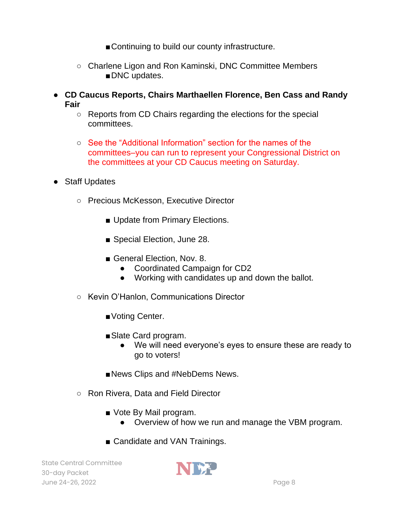■ Continuing to build our county infrastructure.

- Charlene Ligon and Ron Kaminski, DNC Committee Members ■DNC updates.
- **CD Caucus Reports, Chairs Marthaellen Florence, Ben Cass and Randy Fair** 
	- Reports from CD Chairs regarding the elections for the special committees.
	- See the "Additional Information" section for the names of the committees–you can run to represent your Congressional District on the committees at your CD Caucus meeting on Saturday.
- Staff Updates
	- Precious McKesson, Executive Director
		- Update from Primary Elections.
		- Special Election, June 28.
		- General Election, Nov. 8.
			- Coordinated Campaign for CD2
			- Working with candidates up and down the ballot.
	- Kevin O'Hanlon, Communications Director
		- Voting Center.
		- Slate Card program.
			- We will need everyone's eyes to ensure these are ready to go to voters!
		- ■News Clips and #NebDems News.
	- Ron Rivera, Data and Field Director
		- Vote By Mail program.
			- Overview of how we run and manage the VBM program.
		- Candidate and VAN Trainings.

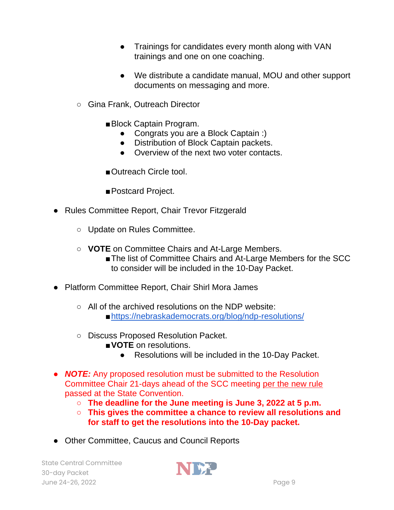- Trainings for candidates every month along with VAN trainings and one on one coaching.
- We distribute a candidate manual, MOU and other support documents on messaging and more.
- Gina Frank, Outreach Director
	- ■Block Captain Program.
		- Congrats you are a Block Captain :)
		- Distribution of Block Captain packets.
		- Overview of the next two voter contacts.
	- ■Outreach Circle tool.

■ Postcard Project.

- Rules Committee Report, Chair Trevor Fitzgerald
	- Update on Rules Committee.
	- **VOTE** on Committee Chairs and At-Large Members.
		- ■The list of Committee Chairs and At-Large Members for the SCC to consider will be included in the 10-Day Packet.
- Platform Committee Report, Chair Shirl Mora James
	- $\circ$  All of the archived resolutions on the NDP website: [■https://nebraskademocrats.org/blog/ndp-resolutions/](https://nebraskademocrats.org/blog/ndp-resolutions/)
	- Discuss Proposed Resolution Packet.
		- ■**VOTE** on resolutions.
			- Resolutions will be included in the 10-Day Packet.
- **NOTE:** Any proposed resolution must be submitted to the Resolution Committee Chair 21-days ahead of the SCC meeting [per the new rule](https://nebraskademocrats.org/wp-content/uploads/2022/05/NDP-Constitution-Bylaws-4.2.22.pdf)  passed at the State Convention.
	- **The deadline for the June meeting is June 3, 2022 at 5 p.m.**
	- **This gives the committee a chance to review all resolutions and for staff to get the resolutions into the 10-Day packet.**
- Other Committee, Caucus and Council Reports

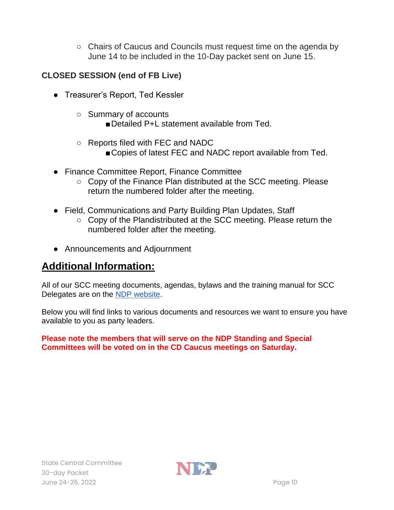○ Chairs of Caucus and Councils must request time on the agenda by June 14 to be included in the 10-Day packet sent on June 15.

## **CLOSED SESSION (end of FB Live)**

- Treasurer's Report, Ted Kessler
	- Summary of accounts

■ Detailed P+L statement available from Ted.

- Reports filed with FEC and NADC
	- ■Copies of latest FEC and NADC report available from Ted.
- Finance Committee Report, Finance Committee
	- Copy of the Finance Plan distributed at the SCC meeting. Please return the numbered folder after the meeting.
- Field, Communications and Party Building Plan Updates, Staff
	- Copy of the Plandistributed at the SCC meeting. Please return the numbered folder after the meeting.
- Announcements and Adjournment

# **Additional Information:**

All of our SCC meeting documents, agendas, bylaws and the training manual for SCC Delegates are on the [NDP website.](https://nebraskademocrats.org/sccminutes/)

Below you will find links to various documents and resources we want to ensure you have available to you as party leaders.

**Please note the members that will serve on the NDP Standing and Special Committees will be voted on in the CD Caucus meetings on Saturday.**

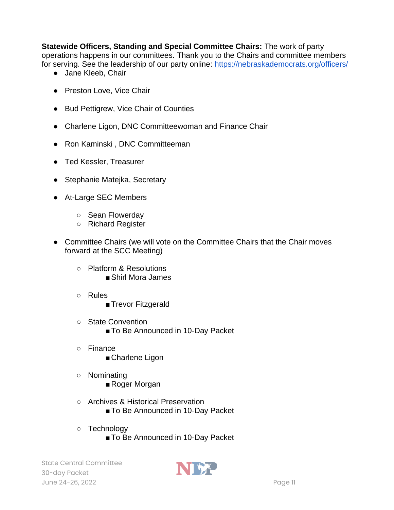**Statewide Officers, Standing and Special Committee Chairs:** The work of party operations happens in our committees. Thank you to the Chairs and committee members for serving. See the leadership of our party online:<https://nebraskademocrats.org/officers/>

- Jane Kleeb, Chair
- Preston Love, Vice Chair
- Bud Pettigrew, Vice Chair of Counties
- Charlene Ligon, DNC Committeewoman and Finance Chair
- Ron Kaminski, DNC Committeeman
- Ted Kessler, Treasurer
- Stephanie Matejka, Secretary
- At-Large SEC Members
	- Sean Flowerday
	- Richard Register
- Committee Chairs (we will vote on the Committee Chairs that the Chair moves forward at the SCC Meeting)
	- Platform & Resolutions ■ Shirl Mora James
	- Rules
		- Trevor Fitzgerald
	- State Convention ■ To Be Announced in 10-Day Packet
	- Finance
		- Charlene Ligon
	- Nominating ■ Roger Morgan
	- Archives & Historical Preservation
		- To Be Announced in 10-Day Packet
	- Technology
		- To Be Announced in 10-Day Packet

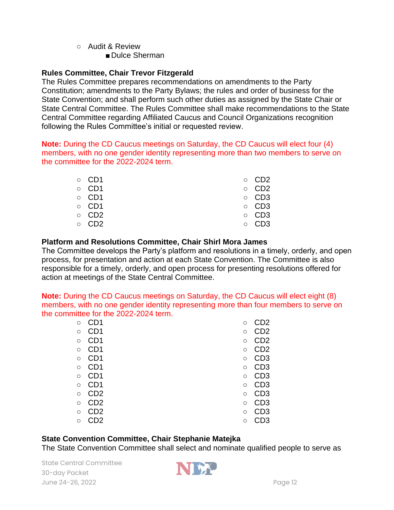#### ○ Audit & Review

■ Dulce Sherman

#### **Rules Committee, Chair Trevor Fitzgerald**

The Rules Committee prepares recommendations on amendments to the Party Constitution; amendments to the Party Bylaws; the rules and order of business for the State Convention; and shall perform such other duties as assigned by the State Chair or State Central Committee. The Rules Committee shall make recommendations to the State Central Committee regarding Affiliated Caucus and Council Organizations recognition following the Rules Committee's initial or requested review.

**Note:** During the CD Caucus meetings on Saturday, the CD Caucus will elect four (4) members, with no one gender identity representing more than two members to serve on the committee for the 2022-2024 term.

| $\circ$ CD1 | $\circ$ CD2 |
|-------------|-------------|
| $\circ$ CD1 | $\circ$ CD2 |
| $\circ$ CD1 | $\circ$ CD3 |
| $\circ$ CD1 | $\circ$ CD3 |
| $\circ$ CD2 | $\circ$ CD3 |
| $\circ$ CD2 | $\circ$ CD3 |

#### **Platform and Resolutions Committee, Chair Shirl Mora James**

The Committee develops the Party's platform and resolutions in a timely, orderly, and open process, for presentation and action at each State Convention. The Committee is also responsible for a timely, orderly, and open process for presenting resolutions offered for action at meetings of the State Central Committee.

**Note:** During the CD Caucus meetings on Saturday, the CD Caucus will elect eight (8) members, with no one gender identity representing more than four members to serve on the committee for the 2022-2024 term.

| $\circ$ | CD1             | O       | CD <sub>2</sub> |
|---------|-----------------|---------|-----------------|
| $\circ$ | CD <sub>1</sub> | $\circ$ | CD2             |
| $\circ$ | CD <sub>1</sub> | $\circ$ | CD <sub>2</sub> |
| $\circ$ | CD <sub>1</sub> | $\circ$ | CD <sub>2</sub> |
| $\circ$ | CD <sub>1</sub> | $\circ$ | CD <sub>3</sub> |
| $\circ$ | CD <sub>1</sub> | $\circ$ | CD <sub>3</sub> |
| $\circ$ | CD <sub>1</sub> | $\circ$ | CD <sub>3</sub> |
| $\circ$ | CD1             | $\circ$ | CD <sub>3</sub> |
| $\circ$ | CD <sub>2</sub> | $\circ$ | CD3             |
| $\circ$ | CD <sub>2</sub> | $\circ$ | CD3             |
| $\circ$ | CD <sub>2</sub> | $\circ$ | CD3             |
| O       | D2              | О       | CD3             |

#### **State Convention Committee, Chair Stephanie Matejka**

The State Convention Committee shall select and nominate qualified people to serve as

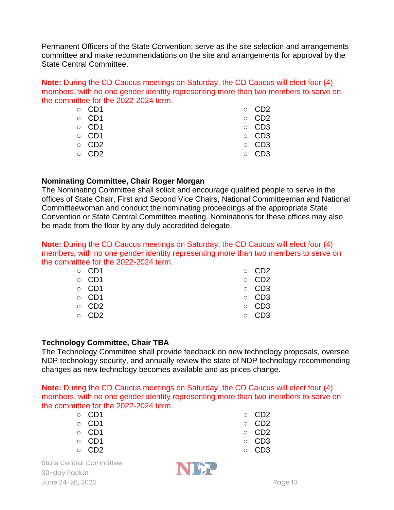Permanent Officers of the State Convention; serve as the site selection and arrangements committee and make recommendations on the site and arrangements for approval by the State Central Committee.

**Note:** During the CD Caucus meetings on Saturday, the CD Caucus will elect four (4) members, with no one gender identity representing more than two members to serve on the committee for the 2022-2024 term.

| $\circ$ CD1 | $\circ$ CD2 |
|-------------|-------------|
| $\circ$ CD1 | $\circ$ CD2 |
| $\circ$ CD1 | $\circ$ CD3 |
| $\circ$ CD1 | $\circ$ CD3 |
| $\circ$ CD2 | $\circ$ CD3 |
| $\circ$ CD2 | $\circ$ CD3 |
|             |             |

#### **Nominating Committee, Chair Roger Morgan**

The Nominating Committee shall solicit and encourage qualified people to serve in the offices of State Chair, First and Second Vice Chairs, National Committeeman and National Committeewoman and conduct the nominating proceedings at the appropriate State Convention or State Central Committee meeting. Nominations for these offices may also be made from the floor by any duly accredited delegate.

**Note:** During the CD Caucus meetings on Saturday, the CD Caucus will elect four (4) members, with no one gender identity representing more than two members to serve on the committee for the 2022-2024 term.

| $\circ$ CD1 | $\circ$ CD2 |
|-------------|-------------|
| $\circ$ CD1 | $\circ$ CD2 |
| $\circ$ CD1 | $\circ$ CD3 |
| $\circ$ CD1 | $\circ$ CD3 |
| $\circ$ CD2 | $\circ$ CD3 |
| $\circ$ CD2 | $\circ$ CD3 |
|             |             |

#### **Technology Committee, Chair TBA**

The Technology Committee shall provide feedback on new technology proposals, oversee NDP technology security, and annually review the state of NDP technology recommending changes as new technology becomes available and as prices change.

**Note:** During the CD Caucus meetings on Saturday, the CD Caucus will elect four (4) members, with no one gender identity representing more than two members to serve on the committee for the 2022-2024 term.

|        | ○ CD1           |  |
|--------|-----------------|--|
|        | ○ CD1           |  |
| $\sim$ | CD <sup>1</sup> |  |

- CD1
- CD1
- CD2



- CD2
- CD2
- CD2
- CD3
- CD3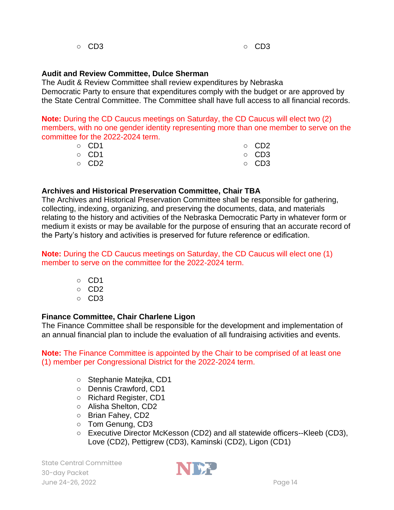#### **Audit and Review Committee, Dulce Sherman**

The Audit & Review Committee shall review expenditures by Nebraska Democratic Party to ensure that expenditures comply with the budget or are approved by the State Central Committee. The Committee shall have full access to all financial records.

**Note:** During the CD Caucus meetings on Saturday, the CD Caucus will elect two (2) members, with no one gender identity representing more than one member to serve on the committee for the 2022-2024 term.

| $\circ$ CD1 | $\circ$ CD2 |
|-------------|-------------|
| ○ CD1       | $\circ$ CD3 |
| ○ CD2       | $\circ$ CD3 |

#### **Archives and Historical Preservation Committee, Chair TBA**

The Archives and Historical Preservation Committee shall be responsible for gathering, collecting, indexing, organizing, and preserving the documents, data, and materials relating to the history and activities of the Nebraska Democratic Party in whatever form or medium it exists or may be available for the purpose of ensuring that an accurate record of the Party's history and activities is preserved for future reference or edification.

**Note:** During the CD Caucus meetings on Saturday, the CD Caucus will elect one (1) member to serve on the committee for the 2022-2024 term.

- CD1
- CD2
- CD3

#### **Finance Committee, Chair Charlene Ligon**

The Finance Committee shall be responsible for the development and implementation of an annual financial plan to include the evaluation of all fundraising activities and events.

**Note:** The Finance Committee is appointed by the Chair to be comprised of at least one (1) member per Congressional District for the 2022-2024 term.

- Stephanie Matejka, CD1
- Dennis Crawford, CD1
- Richard Register, CD1
- Alisha Shelton, CD2
- Brian Fahey, CD2
- Tom Genung, CD3
- Executive Director McKesson (CD2) and all statewide officers--Kleeb (CD3), Love (CD2), Pettigrew (CD3), Kaminski (CD2), Ligon (CD1)

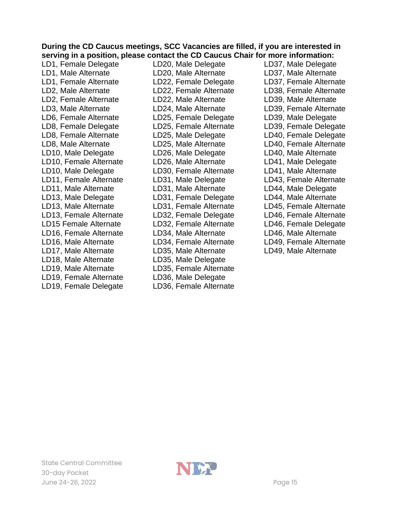#### **During the CD Caucus meetings, SCC Vacancies are filled, if you are interested in serving in a position, please contact the CD Caucus Chair for more information:**

LD1, Female Delegate LD1, Male Alternate LD1, Female Alternate LD2, Male Alternate LD2, Female Alternate LD3, Male Alternate LD6, Female Alternate LD8, Female Delegate LD8, Female Alternate LD8, Male Alternate LD10, Male Delegate LD10, Female Alternate LD10, Male Delegate LD11, Female Alternate LD11, Male Alternate LD13, Male Delegate LD13, Male Alternate LD13, Female Alternate LD15 Female Alternate LD16, Female Alternate LD16, Male Alternate LD17, Male Alternate LD18, Male Alternate LD19, Male Alternate LD19, Female Alternate LD19, Female Delegate LD20, Male Delegate LD20, Male Alternate LD22, Female Delegate LD22, Female Alternate LD22, Male Alternate LD24, Male Alternate LD25, Female Delegate LD25, Female Alternate LD25, Male Delegate LD25, Male Alternate LD26, Male Delegate LD26, Male Alternate LD30, Female Alternate LD31, Male Delegate LD31, Male Alternate LD31, Female Delegate LD31, Female Alternate LD32, Female Delegate LD32, Female Alternate LD34, Male Alternate LD34, Female Alternate LD35, Male Alternate LD35, Male Delegate LD35, Female Alternate LD36, Male Delegate LD36, Female Alternate

LD37, Male Delegate LD37, Male Alternate LD37, Female Alternate LD38, Female Alternate LD39, Male Alternate LD39, Female Alternate LD39, Male Delegate LD39, Female Delegate LD40, Female Delegate LD40, Female Alternate LD40, Male Alternate LD41, Male Delegate LD41, Male Alternate LD43, Female Alternate LD44, Male Delegate LD44, Male Alternate LD45, Female Alternate LD46, Female Alternate LD46, Female Delegate LD46, Male Alternate LD49, Female Alternate LD49, Male Alternate

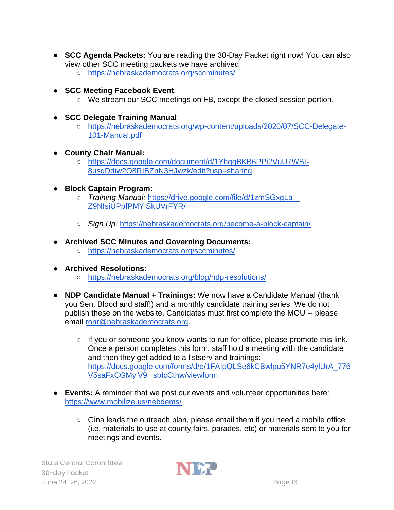- **SCC Agenda Packets:** You are reading the 30-Day Packet right now! You can also view other SCC meeting packets we have archived.
	- <https://nebraskademocrats.org/sccminutes/>
- **SCC Meeting Facebook Event**:
	- We stream our SCC meetings on FB, except the closed session portion.
- **SCC Delegate Training Manual**:
	- [https://nebraskademocrats.org/wp-content/uploads/2020/07/SCC-Delegate-](https://nebraskademocrats.org/wp-content/uploads/2020/07/SCC-Delegate-101-Manual.pdf)[101-Manual.pdf](https://nebraskademocrats.org/wp-content/uploads/2020/07/SCC-Delegate-101-Manual.pdf)
- **County Chair Manual:**
	- [https://docs.google.com/document/d/1YhgqBKB6PPi2VuU7WBI-](https://docs.google.com/document/d/1YhgqBKB6PPi2VuU7WBI-8usqDdiw2O8RIBZnN3HJwzk/edit?usp=sharing)[8usqDdiw2O8RIBZnN3HJwzk/edit?usp=sharing](https://docs.google.com/document/d/1YhgqBKB6PPi2VuU7WBI-8usqDdiw2O8RIBZnN3HJwzk/edit?usp=sharing)
- **Block Captain Program:**
	- *Training Manual:* [https://drive.google.com/file/d/1zmSGxgLa\\_-](https://drive.google.com/file/d/1zmSGxgLa_-Z9NIsiUPpfPMYlSkUVrFYR/view?usp=sharing) [Z9NIsiUPpfPMYlSkUVrFYR/](https://drive.google.com/file/d/1zmSGxgLa_-Z9NIsiUPpfPMYlSkUVrFYR/view?usp=sharing)
	- *Sign Up:* <https://nebraskademocrats.org/become-a-block-captain/>
- **Archived SCC Minutes and Governing Documents:**
	- <https://nebraskademocrats.org/sccminutes/>
- **Archived Resolutions:** 
	- <https://nebraskademocrats.org/blog/ndp-resolutions/>
- **NDP Candidate Manual + Trainings:** We now have a Candidate Manual (thank you Sen. Blood and staff!) and a monthly candidate training series. We do not publish these on the website. Candidates must first complete the MOU -- please email [ronr@nebraskademocrats.org.](mailto:ronr@nebraskademocrats.org)
	- If you or someone you know wants to run for office, please promote this link. Once a person completes this form, staff hold a meeting with the candidate and then they get added to a listserv and trainings: [https://docs.google.com/forms/d/e/1FAIpQLSe6kCBwlpu5YNR7e4ylUrA\\_776](https://docs.google.com/forms/d/e/1FAIpQLSe6kCBwlpu5YNR7e4ylUrA_776V5saFxCGMylV9l_sbIcCthw/viewform?link_id=0&can_id=27eff65040ec99bc601bafb386cf587a&source=email-another-election-is-just-around-the-corner&email_referrer=email_1111401&email_subject=does-this-sound-like-you) [V5saFxCGMylV9l\\_sbIcCthw/viewform](https://docs.google.com/forms/d/e/1FAIpQLSe6kCBwlpu5YNR7e4ylUrA_776V5saFxCGMylV9l_sbIcCthw/viewform?link_id=0&can_id=27eff65040ec99bc601bafb386cf587a&source=email-another-election-is-just-around-the-corner&email_referrer=email_1111401&email_subject=does-this-sound-like-you)
- **Events:** A reminder that we post our events and volunteer opportunities here: <https://www.mobilize.us/nebdems/>
	- Gina leads the outreach plan, please email them if you need a mobile office (i.e. materials to use at county fairs, parades, etc) or materials sent to you for meetings and events.

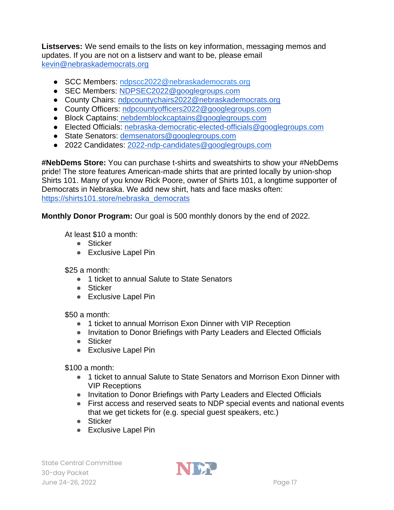**Listserves:** We send emails to the lists on key information, messaging memos and updates. If you are not on a listserv and want to be, please email [kevin@nebraskademocrats.org](mailto:kevin@nebraskademocrats.org) 

- SCC Members: ndpscc2022@nebraskademocrats.org
- SEC Members: [NDPSEC2022@googlegroups.com](mailto:NDPSEC2022@googlegroups.com)
- County Chairs: [ndpcountychairs2022@nebraskademocrats.org](https://groups.google.com/a/nebraskademocrats.org/g/ndpcountychairs2022)
- County Officers: [ndpcountyofficers2022@googlegroups.com](https://groups.google.com/g/ndpcountyofficers2022)
- Block Captains: [nebdemblockcaptains@googlegroups.com](mailto:nebdemblockcaptains@googlegroups.com)
- Elected Officials: [nebraska-democratic-elected-officials@googlegroups.com](mailto:nebraska-democratic-elected-officials@googlegroups.com)
- State Senators: [demsenators@googlegroups.com](mailto:demsenators@googlegroups.com)
- 2022 Candidates: [2022-ndp-candidates@googlegroups.com](mailto:2022-ndp-candidates@googlegroups.com)

**#NebDems Store:** You can purchase t-shirts and sweatshirts to show your #NebDems pride! The store features American-made shirts that are printed locally by union-shop Shirts 101. Many of you know Rick Poore, owner of Shirts 101, a longtime supporter of Democrats in Nebraska. We add new shirt, hats and face masks often: [https://shirts101.store/nebraska\\_democrats](https://shirts101.store/nebraska_democrats)

**Monthly Donor Program:** Our goal is 500 monthly donors by the end of 2022.

At least \$10 a month:

- Sticker
- Exclusive Lapel Pin

 $$25 a month:$ 

- 1 ticket to annual Salute to State Senators
- Sticker
- Exclusive Lapel Pin

\$50 a month:

- 1 ticket to annual Morrison Exon Dinner with VIP Reception
- Invitation to Donor Briefings with Party Leaders and Elected Officials
- Sticker
- Exclusive Lapel Pin

\$100 a month:

- 1 ticket to annual Salute to State Senators and Morrison Exon Dinner with VIP Receptions
- Invitation to Donor Briefings with Party Leaders and Elected Officials
- First access and reserved seats to NDP special events and national events that we get tickets for (e.g. special guest speakers, etc.)
- Sticker
- Exclusive Lapel Pin

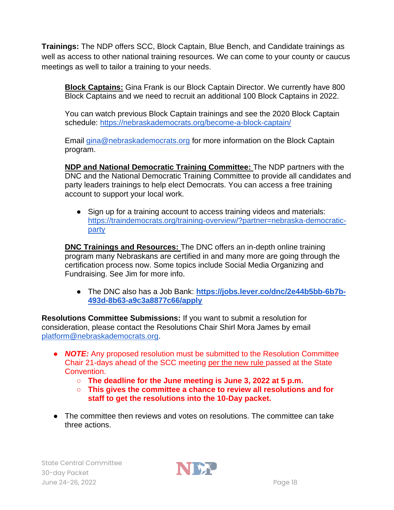**Trainings:** The NDP offers SCC, Block Captain, Blue Bench, and Candidate trainings as well as access to other national training resources. We can come to your county or caucus meetings as well to tailor a training to your needs.

**Block Captains:** Gina Frank is our Block Captain Director. We currently have 800 Block Captains and we need to recruit an additional 100 Block Captains in 2022.

You can watch previous Block Captain trainings and see the 2020 Block Captain schedule:<https://nebraskademocrats.org/become-a-block-captain/>

Email [gina@nebraskademocrats.org](mailto:gina@nebraskademocrats.org) for more information on the Block Captain program.

**NDP and National Democratic Training Committee:** The NDP partners with the DNC and the National Democratic Training Committee to provide all candidates and party leaders trainings to help elect Democrats. You can access a free training account to support your local work.

• Sign up for a training account to access training videos and materials: [https://traindemocrats.org/training-overview/?partner=nebraska-democratic](https://traindemocrats.org/training-overview/?partner=nebraska-democratic-party)[party](https://traindemocrats.org/training-overview/?partner=nebraska-democratic-party)

**DNC Trainings and Resources:** The DNC offers an in-depth online training program many Nebraskans are certified in and many more are going through the certification process now. Some topics include Social Media Organizing and Fundraising. See Jim for more info.

● The DNC also has a Job Bank: **[https://jobs.lever.co/dnc/2e44b5bb-6b7b-](https://jobs.lever.co/dnc/2e44b5bb-6b7b-493d-8b63-a9c3a8877c66/apply)[493d-8b63-a9c3a8877c66/apply](https://jobs.lever.co/dnc/2e44b5bb-6b7b-493d-8b63-a9c3a8877c66/apply)**

**Resolutions Committee Submissions:** If you want to submit a resolution for consideration, please contact the Resolutions Chair Shirl Mora James by email [platform@nebraskademocrats.org.](mailto:platform@nebraskademocrats.org)

- **NOTE:** Any proposed resolution must be submitted to the Resolution Committee Chair 21-days ahead of the SCC meeting [per the new rule p](https://nebraskademocrats.org/wp-content/uploads/2022/05/NDP-Constitution-Bylaws-4.2.22.pdf)assed at the State Convention.
	- **The deadline for the June meeting is June 3, 2022 at 5 p.m.**
	- **This gives the committee a chance to review all resolutions and for staff to get the resolutions into the 10-Day packet.**
- The committee then reviews and votes on resolutions. The committee can take three actions.

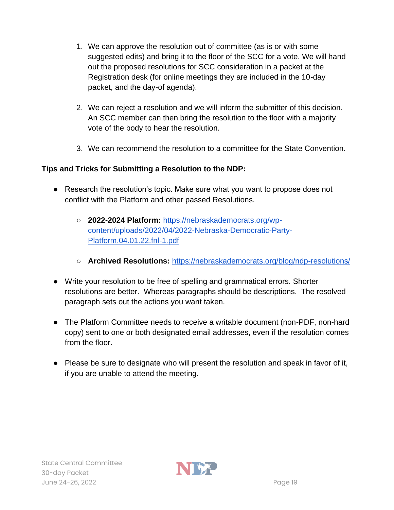- 1. We can approve the resolution out of committee (as is or with some suggested edits) and bring it to the floor of the SCC for a vote. We will hand out the proposed resolutions for SCC consideration in a packet at the Registration desk (for online meetings they are included in the 10-day packet, and the day-of agenda).
- 2. We can reject a resolution and we will inform the submitter of this decision. An SCC member can then bring the resolution to the floor with a majority vote of the body to hear the resolution.
- 3. We can recommend the resolution to a committee for the State Convention.

## **Tips and Tricks for Submitting a Resolution to the NDP:**

- Research the resolution's topic. Make sure what you want to propose does not conflict with the Platform and other passed Resolutions.
	- **2022-2024 Platform:** [https://nebraskademocrats.org/wp](https://nebraskademocrats.org/wp-content/uploads/2022/04/2022-Nebraska-Democratic-Party-Platform.04.01.22.fnl-1.pdf)[content/uploads/2022/04/2022-Nebraska-Democratic-Party-](https://nebraskademocrats.org/wp-content/uploads/2022/04/2022-Nebraska-Democratic-Party-Platform.04.01.22.fnl-1.pdf)[Platform.04.01.22.fnl-1.pdf](https://nebraskademocrats.org/wp-content/uploads/2022/04/2022-Nebraska-Democratic-Party-Platform.04.01.22.fnl-1.pdf)
	- **Archived Resolutions:** <https://nebraskademocrats.org/blog/ndp-resolutions/>
- Write your resolution to be free of spelling and grammatical errors. Shorter resolutions are better. Whereas paragraphs should be descriptions. The resolved paragraph sets out the actions you want taken.
- The Platform Committee needs to receive a writable document (non-PDF, non-hard copy) sent to one or both designated email addresses, even if the resolution comes from the floor.
- Please be sure to designate who will present the resolution and speak in favor of it, if you are unable to attend the meeting.